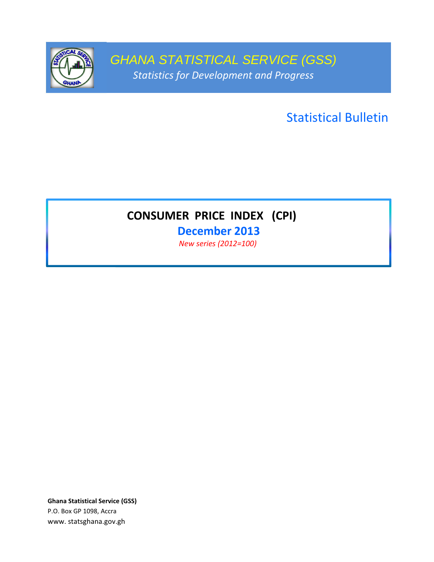

GHANA STATISTICAL SERVICE (GSS) Statistics for Development and Progress

Statistical Bulletin

# CONSUMER PRICE INDEX (CPI)

December 2013

New series (2012=100)

Ghana Statistical Service (GSS) P.O. Box GP 1098, Accra www. statsghana.gov.gh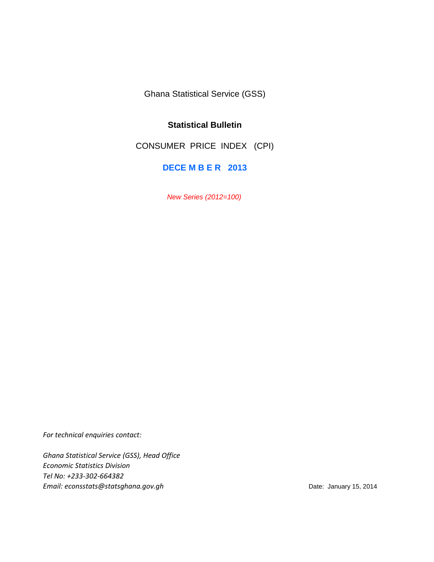Ghana Statistical Service (GSS)

# **Statistical Bulletin**

CONSUMER PRICE INDEX (CPI)

**DECE M B E R 2013**

New Series (2012=100)

For technical enquiries contact:

Ghana Statistical Service (GSS), Head Office Economic Statistics Division Tel No: +233-302-664382 Email: econsstats@statsghana.gov.gh example and the Date: January 15, 2014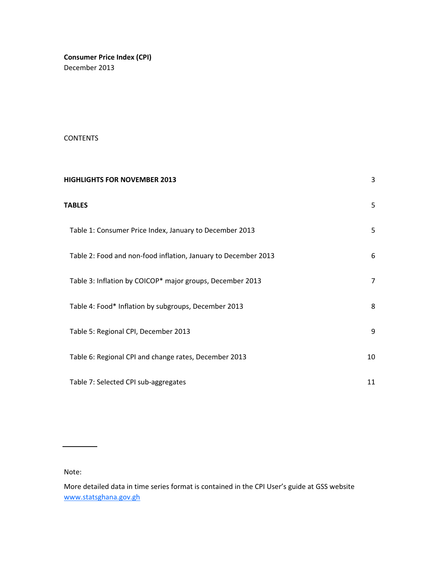Consumer Price Index (CPI) December 2013

# CONTENTS

| <b>HIGHLIGHTS FOR NOVEMBER 2013</b>                            | 3  |
|----------------------------------------------------------------|----|
| <b>TABLES</b>                                                  | 5  |
| Table 1: Consumer Price Index, January to December 2013        | 5  |
| Table 2: Food and non-food inflation, January to December 2013 | 6  |
| Table 3: Inflation by COICOP* major groups, December 2013      | 7  |
| Table 4: Food* Inflation by subgroups, December 2013           | 8  |
| Table 5: Regional CPI, December 2013                           | 9  |
| Table 6: Regional CPI and change rates, December 2013          | 10 |
| Table 7: Selected CPI sub-aggregates                           | 11 |

Note:

More detailed data in time series format is contained in the CPI User's guide at GSS website www.statsghana.gov.gh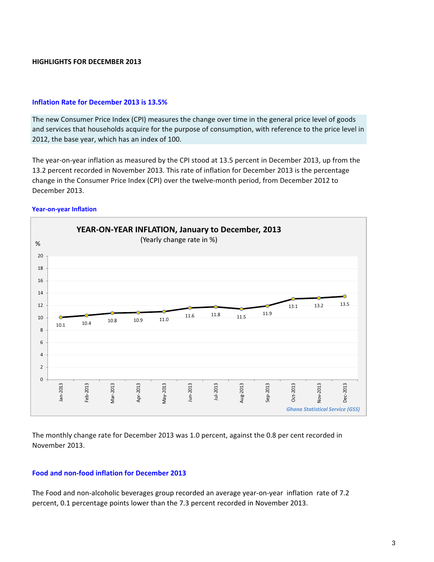## HIGHLIGHTS FOR DECEMBER 2013

## Inflation Rate for December 2013 is 13.5%

The new Consumer Price Index (CPI) measures the change over time in the general price level of goods and services that households acquire for the purpose of consumption, with reference to the price level in 2012, the base year, which has an index of 100.

The year-on-year inflation as measured by the CPI stood at 13.5 percent in December 2013, up from the 13.2 percent recorded in November 2013. This rate of inflation for December 2013 is the percentage change in the Consumer Price Index (CPI) over the twelve-month period, from December 2012 to December 2013.

#### Year-on-year Inflation



The monthly change rate for December 2013 was 1.0 percent, against the 0.8 per cent recorded in November 2013.

## Food and non-food inflation for December 2013

The Food and non-alcoholic beverages group recorded an average year-on-year inflation rate of 7.2 percent, 0.1 percentage points lower than the 7.3 percent recorded in November 2013.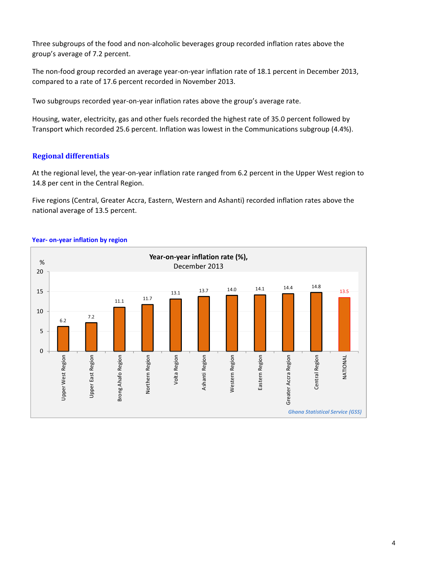Three subgroups of the food and non-alcoholic beverages group recorded inflation rates above the group's average of 7.2 percent.

The non-food group recorded an average year-on-year inflation rate of 18.1 percent in December 2013, compared to a rate of 17.6 percent recorded in November 2013.

Two subgroups recorded year-on-year inflation rates above the group's average rate.

Housing, water, electricity, gas and other fuels recorded the highest rate of 35.0 percent followed by Transport which recorded 25.6 percent. Inflation was lowest in the Communications subgroup (4.4%).

# Regional differentials

At the regional level, the year-on-year inflation rate ranged from 6.2 percent in the Upper West region to 14.8 per cent in the Central Region.

Five regions (Central, Greater Accra, Eastern, Western and Ashanti) recorded inflation rates above the national average of 13.5 percent.



#### Year- on-year inflation by region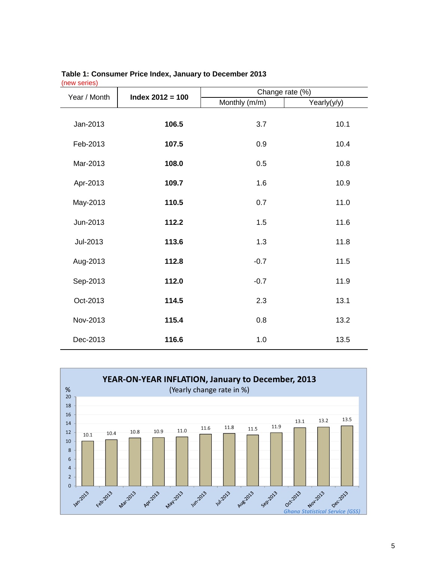| $\cdots$<br>Year / Month | $Index 2012 = 100$ | Change rate (%) |             |
|--------------------------|--------------------|-----------------|-------------|
|                          |                    | Monthly (m/m)   | Yearly(y/y) |
| Jan-2013                 | 106.5              | 3.7             | 10.1        |
| Feb-2013                 | 107.5              | 0.9             | 10.4        |
| Mar-2013                 | 108.0              | 0.5             | 10.8        |
| Apr-2013                 | 109.7              | 1.6             | 10.9        |
| May-2013                 | 110.5              | 0.7             | 11.0        |
| Jun-2013                 | 112.2              | 1.5             | 11.6        |
| Jul-2013                 | 113.6              | 1.3             | 11.8        |
| Aug-2013                 | 112.8              | $-0.7$          | 11.5        |
| Sep-2013                 | 112.0              | $-0.7$          | 11.9        |
| Oct-2013                 | 114.5              | 2.3             | 13.1        |
| Nov-2013                 | 115.4              | 0.8             | 13.2        |
| Dec-2013                 | 116.6              | 1.0             | 13.5        |

#### **Table 1: Consumer Price Index, January to December 2013** (new series)

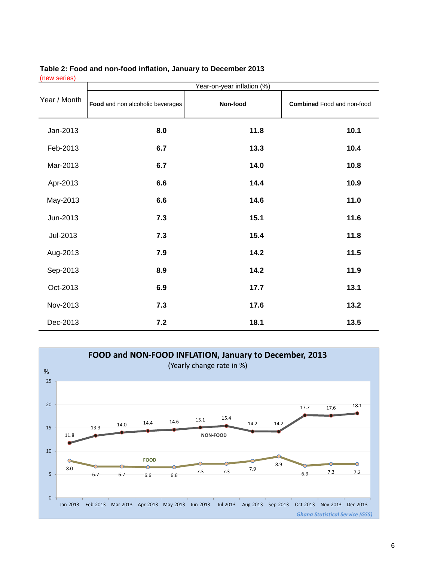|              | Year-on-year inflation (%)       |          |                                   |
|--------------|----------------------------------|----------|-----------------------------------|
| Year / Month | Food and non alcoholic beverages | Non-food | <b>Combined</b> Food and non-food |
| Jan-2013     | 8.0                              | 11.8     | 10.1                              |
| Feb-2013     | 6.7                              | 13.3     | 10.4                              |
| Mar-2013     | 6.7                              | 14.0     | 10.8                              |
| Apr-2013     | 6.6                              | 14.4     | 10.9                              |
| May-2013     | 6.6                              | 14.6     | 11.0                              |
| Jun-2013     | 7.3                              | 15.1     | 11.6                              |
| Jul-2013     | 7.3                              | 15.4     | 11.8                              |
| Aug-2013     | 7.9                              | 14.2     | 11.5                              |
| Sep-2013     | 8.9                              | 14.2     | 11.9                              |
| Oct-2013     | 6.9                              | 17.7     | 13.1                              |
| Nov-2013     | 7.3                              | 17.6     | 13.2                              |
| Dec-2013     | 7.2                              | 18.1     | 13.5                              |

# **Table 2: Food and non-food inflation, January to December 2013** (new series)

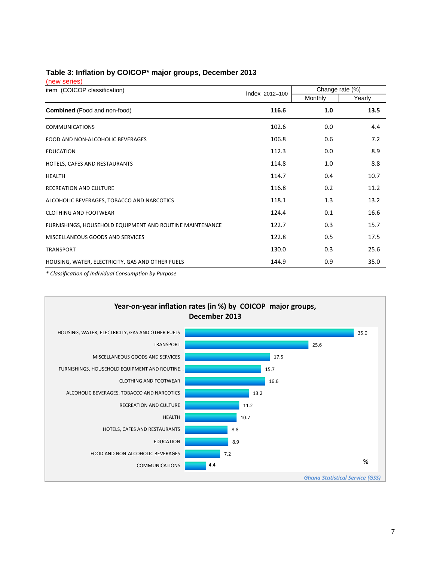# **Table 3: Inflation by COICOP\* major groups, December 2013**

(new series)

| item (COICOP classification)                             | Index 2012=100 | Change rate (%) |        |
|----------------------------------------------------------|----------------|-----------------|--------|
|                                                          |                | Monthly         | Yearly |
| <b>Combined</b> (Food and non-food)                      | 116.6          | 1.0             | 13.5   |
| <b>COMMUNICATIONS</b>                                    | 102.6          | 0.0             | 4.4    |
| FOOD AND NON-ALCOHOLIC BEVERAGES                         | 106.8          | 0.6             | 7.2    |
| <b>EDUCATION</b>                                         | 112.3          | 0.0             | 8.9    |
| HOTELS, CAFES AND RESTAURANTS                            | 114.8          | 1.0             | 8.8    |
| <b>HEALTH</b>                                            | 114.7          | 0.4             | 10.7   |
| <b>RECREATION AND CULTURE</b>                            | 116.8          | 0.2             | 11.2   |
| ALCOHOLIC BEVERAGES, TOBACCO AND NARCOTICS               | 118.1          | 1.3             | 13.2   |
| <b>CLOTHING AND FOOTWEAR</b>                             | 124.4          | 0.1             | 16.6   |
| FURNISHINGS, HOUSEHOLD EQUIPMENT AND ROUTINE MAINTENANCE | 122.7          | 0.3             | 15.7   |
| MISCELLANEOUS GOODS AND SERVICES                         | 122.8          | 0.5             | 17.5   |
| <b>TRANSPORT</b>                                         | 130.0          | 0.3             | 25.6   |
| HOUSING, WATER, ELECTRICITY, GAS AND OTHER FUELS         | 144.9          | 0.9             | 35.0   |

\* Classification of Individual Consumption by Purpose

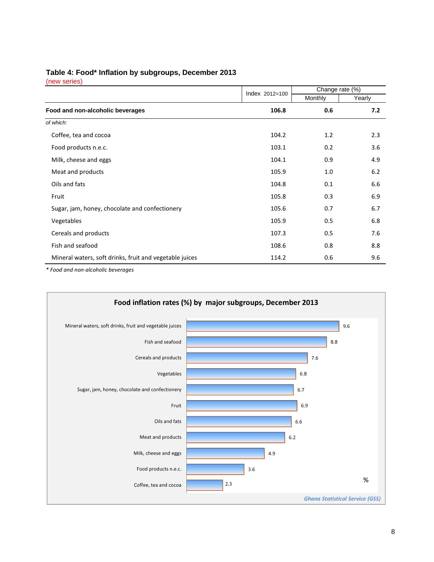## **Table 4: Food\* Inflation by subgroups, December 2013**

(new series)

|                                                         | Index 2012=100 | Change rate (%) |        |
|---------------------------------------------------------|----------------|-----------------|--------|
|                                                         |                | Monthly         | Yearly |
| Food and non-alcoholic beverages                        | 106.8          | 0.6             | 7.2    |
| of which:                                               |                |                 |        |
| Coffee, tea and cocoa                                   | 104.2          | 1.2             | 2.3    |
| Food products n.e.c.                                    | 103.1          | 0.2             | 3.6    |
| Milk, cheese and eggs                                   | 104.1          | 0.9             | 4.9    |
| Meat and products                                       | 105.9          | 1.0             | 6.2    |
| Oils and fats                                           | 104.8          | 0.1             | 6.6    |
| Fruit                                                   | 105.8          | 0.3             | 6.9    |
| Sugar, jam, honey, chocolate and confectionery          | 105.6          | 0.7             | 6.7    |
| Vegetables                                              | 105.9          | 0.5             | 6.8    |
| Cereals and products                                    | 107.3          | 0.5             | 7.6    |
| Fish and seafood                                        | 108.6          | 0.8             | 8.8    |
| Mineral waters, soft drinks, fruit and vegetable juices | 114.2          | 0.6             | 9.6    |

\* Food and non-alcoholic beverages

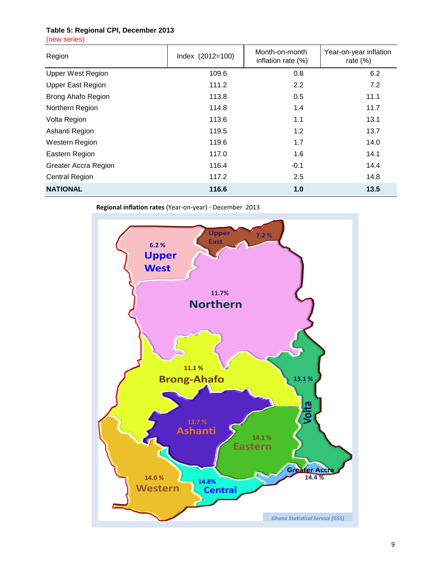# **Table 5: Regional CPI, December 2013**

(new series)

| Region                      | Index $(2012=100)$ | Month-on-month<br>inflation rate $(\%)$ | Year-on-year inflation<br>rate $(\%)$ |
|-----------------------------|--------------------|-----------------------------------------|---------------------------------------|
| <b>Upper West Region</b>    | 109.6              | 0.8                                     | 6.2                                   |
| <b>Upper East Region</b>    | 111.2              | 2.2                                     | 7.2                                   |
| Brong Ahafo Region          | 113.8              | 0.5                                     | 11.1                                  |
| Northern Region             | 114.8              | 1.4                                     | 11.7                                  |
| Volta Region                | 113.6              | 1.1                                     | 13.1                                  |
| Ashanti Region              | 119.5              | 1.2                                     | 13.7                                  |
| Western Region              | 119.6              | 1.7                                     | 14.0                                  |
| Eastern Region              | 117.0              | 1.6                                     | 14.1                                  |
| <b>Greater Accra Region</b> | 116.4              | $-0.1$                                  | 14.4                                  |
| <b>Central Region</b>       | 117.2              | 2.5                                     | 14.8                                  |
| <b>NATIONAL</b>             | 116.6              | 1.0                                     | 13.5                                  |

Regional inflation rates (Year-on-year) - December 2013

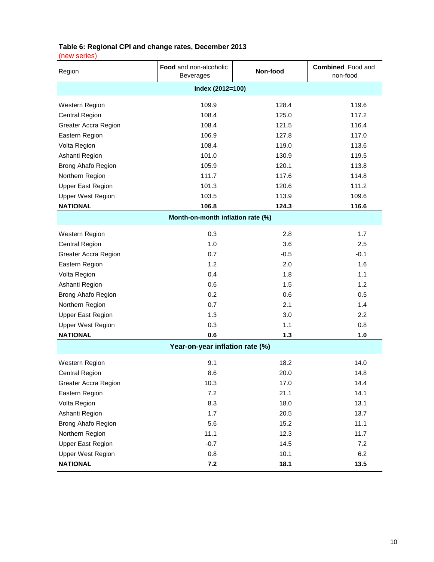# **Table 6: Regional CPI and change rates, December 2013**

(new series)

| Region                          | Food and non-alcoholic<br><b>Beverages</b> | Non-food | <b>Combined</b> Food and<br>non-food |  |
|---------------------------------|--------------------------------------------|----------|--------------------------------------|--|
|                                 | Index (2012=100)                           |          |                                      |  |
| Western Region                  | 109.9                                      | 128.4    | 119.6                                |  |
| <b>Central Region</b>           | 108.4                                      | 125.0    | 117.2                                |  |
| <b>Greater Accra Region</b>     | 108.4                                      | 121.5    | 116.4                                |  |
| Eastern Region                  | 106.9                                      | 127.8    | 117.0                                |  |
| Volta Region                    | 108.4                                      | 119.0    | 113.6                                |  |
| Ashanti Region                  | 101.0                                      | 130.9    | 119.5                                |  |
| Brong Ahafo Region              | 105.9                                      | 120.1    | 113.8                                |  |
| Northern Region                 | 111.7                                      | 117.6    | 114.8                                |  |
| <b>Upper East Region</b>        | 101.3                                      | 120.6    | 111.2                                |  |
| <b>Upper West Region</b>        | 103.5                                      | 113.9    | 109.6                                |  |
| <b>NATIONAL</b>                 | 106.8                                      | 124.3    | 116.6                                |  |
|                                 | Month-on-month inflation rate (%)          |          |                                      |  |
| Western Region                  | 0.3                                        | 2.8      | 1.7                                  |  |
| <b>Central Region</b>           | 1.0                                        | 3.6      | 2.5                                  |  |
| Greater Accra Region            | 0.7                                        | $-0.5$   | $-0.1$                               |  |
| Eastern Region                  | 1.2                                        | 2.0      | 1.6                                  |  |
| Volta Region                    | 0.4                                        | 1.8      | 1.1                                  |  |
| Ashanti Region                  | 0.6                                        | 1.5      | 1.2                                  |  |
| Brong Ahafo Region              | 0.2                                        | 0.6      | 0.5                                  |  |
| Northern Region                 | 0.7                                        | 2.1      | 1.4                                  |  |
| <b>Upper East Region</b>        | 1.3                                        | 3.0      | 2.2                                  |  |
| <b>Upper West Region</b>        | 0.3                                        | 1.1      | 0.8                                  |  |
| <b>NATIONAL</b>                 | 0.6                                        | $1.3$    | 1.0                                  |  |
| Year-on-year inflation rate (%) |                                            |          |                                      |  |
| Western Region                  | 9.1                                        | 18.2     | 14.0                                 |  |
| <b>Central Region</b>           | 8.6                                        | 20.0     | 14.8                                 |  |
| Greater Accra Region            | 10.3                                       | 17.0     | 14.4                                 |  |
| Eastern Region                  | 7.2                                        | 21.1     | 14.1                                 |  |
| Volta Region                    | 8.3                                        | 18.0     | 13.1                                 |  |
| Ashanti Region                  | 1.7                                        | 20.5     | 13.7                                 |  |
| Brong Ahafo Region              | 5.6                                        | 15.2     | 11.1                                 |  |
| Northern Region                 | 11.1                                       | 12.3     | 11.7                                 |  |
| <b>Upper East Region</b>        | $-0.7$                                     | 14.5     | 7.2                                  |  |
| <b>Upper West Region</b>        | 0.8                                        | 10.1     | 6.2                                  |  |
| <b>NATIONAL</b>                 | 7.2                                        | 18.1     | 13.5                                 |  |